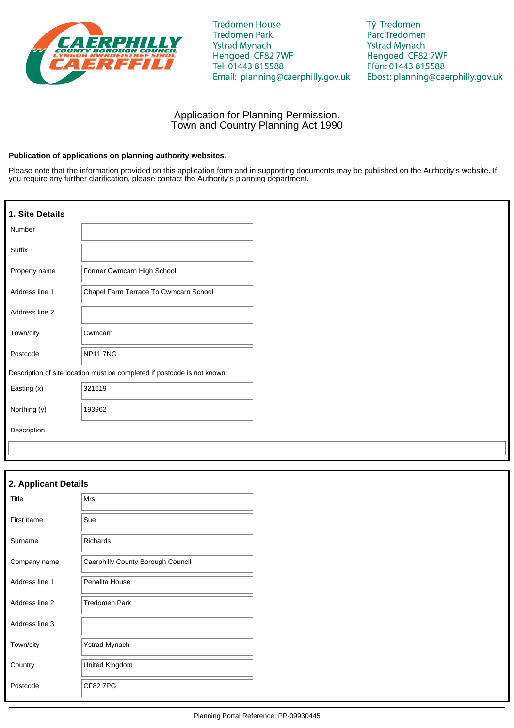

**Tredomen House Tredomen Park Ystrad Mynach** Hengoed CF82 7WF Tel: 01443 815588 Email: planning@caerphilly.gov.uk Tŷ Tredomen Parc Tredomen **Ystrad Mynach** Hengoed CF82 7WF Ffôn: 01443 815588 Ebost: planning@caerphilly.gov.uk

# Application for Planning Permission. Town and Country Planning Act 1990

## **Publication of applications on planning authority websites.**

Please note that the information provided on this application form and in supporting documents may be published on the Authority's website. If you require any further clarification, please contact the Authority's planning department.

| 1. Site Details |                                                                          |
|-----------------|--------------------------------------------------------------------------|
| Number          |                                                                          |
| Suffix          |                                                                          |
| Property name   | Former Cwmcarn High School                                               |
| Address line 1  | Chapel Farm Terrace To Cwmcarn School                                    |
| Address line 2  |                                                                          |
| Town/city       | Cwmcarn                                                                  |
| Postcode        | <b>NP11 7NG</b>                                                          |
|                 | Description of site location must be completed if postcode is not known: |
| Easting (x)     | 321619                                                                   |
| Northing (y)    | 193962                                                                   |
| Description     |                                                                          |

| 2. Applicant Details |                                   |  |
|----------------------|-----------------------------------|--|
| Title                | <b>Mrs</b>                        |  |
| First name           | Sue                               |  |
| Surname              | <b>Richards</b>                   |  |
| Company name         | Caerphilly County Borough Council |  |
| Address line 1       | Penallta House                    |  |
| Address line 2       | <b>Tredomen Park</b>              |  |
| Address line 3       |                                   |  |
| Town/city            | Ystrad Mynach                     |  |
| Country              | United Kingdom                    |  |
| Postcode             | <b>CF827PG</b>                    |  |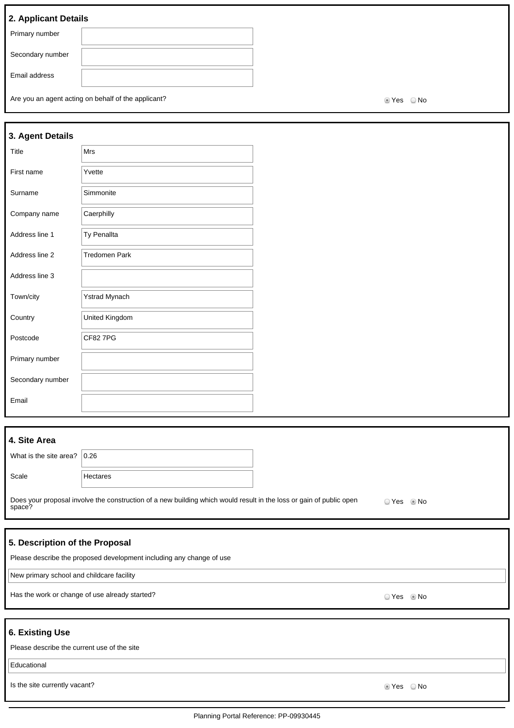# **2. Applicant Details**

Are you an agent acting on behalf of the applicant?  $\blacksquare$ 

| 3. Agent Details |                      |  |
|------------------|----------------------|--|
| Title            | Mrs                  |  |
| First name       | Yvette               |  |
| Surname          | Simmonite            |  |
| Company name     | Caerphilly           |  |
| Address line 1   | <b>Ty Penallta</b>   |  |
| Address line 2   | <b>Tredomen Park</b> |  |
| Address line 3   |                      |  |
| Town/city        | Ystrad Mynach        |  |
| Country          | United Kingdom       |  |
| Postcode         | <b>CF827PG</b>       |  |
| Primary number   |                      |  |
| Secondary number |                      |  |
| Email            |                      |  |

# **4. Site Area**

| What is the site area? $ 0.26 $ |          |
|---------------------------------|----------|
| Scale                           | Hectares |

Does your proposal involve the construction of a new building which would result in the loss or gain of public open space? O Yes @ No

# **5. Description of the Proposal**

Please describe the proposed development including any change of use

New primary school and childcare facility

Has the work or change of use already started? We say that we have not consider the work or change of use already started?

# **6. Existing Use**

| u. Laisung us <del>c</del>                  |         |  |
|---------------------------------------------|---------|--|
| Please describe the current use of the site |         |  |
| Educational                                 |         |  |
| Is the site currently vacant?               | tes ONo |  |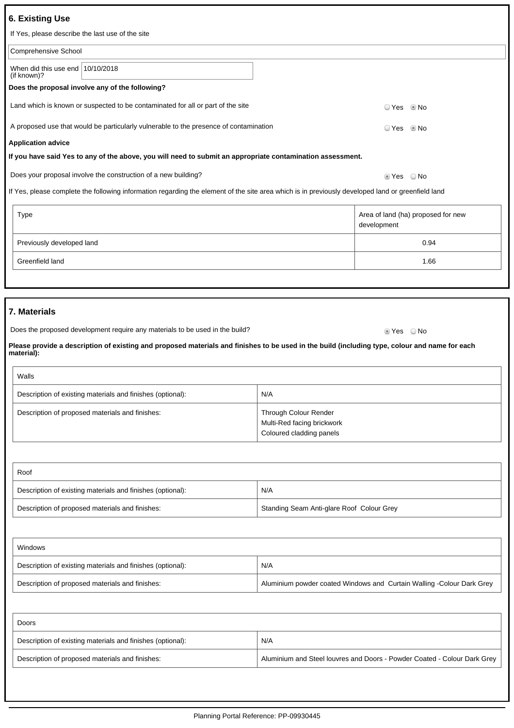| <b>6. Existing Use</b>                                                                                                                                       |                                                                                                                                                   |                                                                                 |             |                                    |
|--------------------------------------------------------------------------------------------------------------------------------------------------------------|---------------------------------------------------------------------------------------------------------------------------------------------------|---------------------------------------------------------------------------------|-------------|------------------------------------|
| If Yes, please describe the last use of the site                                                                                                             |                                                                                                                                                   |                                                                                 |             |                                    |
| Comprehensive School                                                                                                                                         |                                                                                                                                                   |                                                                                 |             |                                    |
| When did this use end $10/10/2018$<br>(if known)?                                                                                                            |                                                                                                                                                   |                                                                                 |             |                                    |
|                                                                                                                                                              | Does the proposal involve any of the following?                                                                                                   |                                                                                 |             |                                    |
| Land which is known or suspected to be contaminated for all or part of the site<br>© No<br>☉ Yes                                                             |                                                                                                                                                   |                                                                                 |             |                                    |
|                                                                                                                                                              | A proposed use that would be particularly vulnerable to the presence of contamination                                                             |                                                                                 | ◯ Yes       | l No                               |
| <b>Application advice</b>                                                                                                                                    |                                                                                                                                                   |                                                                                 |             |                                    |
|                                                                                                                                                              | If you have said Yes to any of the above, you will need to submit an appropriate contamination assessment.                                        |                                                                                 |             |                                    |
|                                                                                                                                                              | Does your proposal involve the construction of a new building?                                                                                    |                                                                                 | ■ Yes ■ No  |                                    |
|                                                                                                                                                              | If Yes, please complete the following information regarding the element of the site area which is in previously developed land or greenfield land |                                                                                 |             |                                    |
| Type                                                                                                                                                         |                                                                                                                                                   |                                                                                 | development | Area of land (ha) proposed for new |
| Previously developed land                                                                                                                                    |                                                                                                                                                   | 0.94                                                                            |             |                                    |
| Greenfield land                                                                                                                                              |                                                                                                                                                   | 1.66                                                                            |             |                                    |
|                                                                                                                                                              |                                                                                                                                                   |                                                                                 |             |                                    |
|                                                                                                                                                              |                                                                                                                                                   |                                                                                 |             |                                    |
| 7. Materials                                                                                                                                                 |                                                                                                                                                   |                                                                                 |             |                                    |
|                                                                                                                                                              | Does the proposed development require any materials to be used in the build?                                                                      |                                                                                 | ■ Yes ■ No  |                                    |
| Please provide a description of existing and proposed materials and finishes to be used in the build (including type, colour and name for each<br>material): |                                                                                                                                                   |                                                                                 |             |                                    |
| Walls                                                                                                                                                        |                                                                                                                                                   |                                                                                 |             |                                    |
|                                                                                                                                                              | Description of existing materials and finishes (optional):                                                                                        | N/A                                                                             |             |                                    |
|                                                                                                                                                              | Description of proposed materials and finishes:                                                                                                   | Through Colour Render<br>Multi-Red facing brickwork<br>Coloured cladding panels |             |                                    |
|                                                                                                                                                              |                                                                                                                                                   |                                                                                 |             |                                    |
| Roof                                                                                                                                                         |                                                                                                                                                   |                                                                                 |             |                                    |

| Description of existing materials and finishes (optional): | N/A                                       |
|------------------------------------------------------------|-------------------------------------------|
| Description of proposed materials and finishes:            | Standing Seam Anti-glare Roof Colour Grey |

| Windows                                                    |                                                                        |  |
|------------------------------------------------------------|------------------------------------------------------------------------|--|
| Description of existing materials and finishes (optional): | N/A                                                                    |  |
| Description of proposed materials and finishes:            | Aluminium powder coated Windows and Curtain Walling - Colour Dark Grey |  |

| Doors                                                      |                                                                          |
|------------------------------------------------------------|--------------------------------------------------------------------------|
| Description of existing materials and finishes (optional): | N/A                                                                      |
| Description of proposed materials and finishes:            | Aluminium and Steel louvres and Doors - Powder Coated - Colour Dark Grey |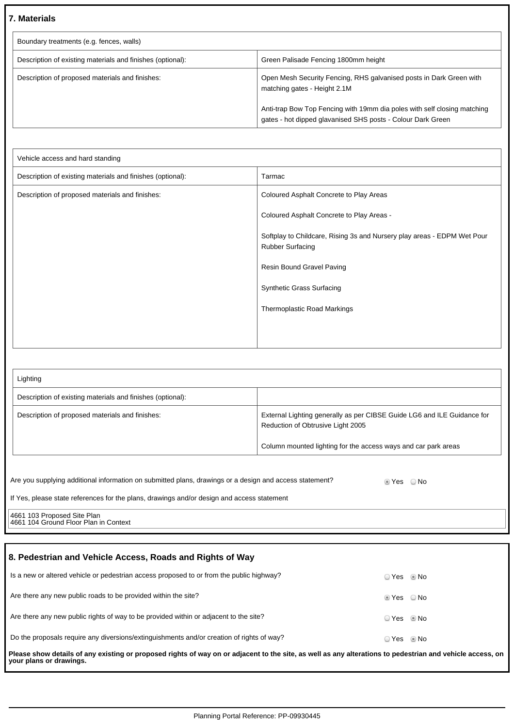# **7. Materials**

| Boundary treatments (e.g. fences, walls)                   |                                                                                                                                         |  |
|------------------------------------------------------------|-----------------------------------------------------------------------------------------------------------------------------------------|--|
| Description of existing materials and finishes (optional): | Green Palisade Fencing 1800mm height                                                                                                    |  |
| Description of proposed materials and finishes:            | Open Mesh Security Fencing, RHS galvanised posts in Dark Green with<br>matching gates - Height 2.1M                                     |  |
|                                                            | Anti-trap Bow Top Fencing with 19mm dia poles with self closing matching<br>gates - hot dipped glavanised SHS posts - Colour Dark Green |  |

| Vehicle access and hard standing                           |                                                                                                    |  |
|------------------------------------------------------------|----------------------------------------------------------------------------------------------------|--|
| Description of existing materials and finishes (optional): | Tarmac                                                                                             |  |
| Description of proposed materials and finishes:            | Coloured Asphalt Concrete to Play Areas                                                            |  |
|                                                            | Coloured Asphalt Concrete to Play Areas -                                                          |  |
|                                                            | Softplay to Childcare, Rising 3s and Nursery play areas - EDPM Wet Pour<br><b>Rubber Surfacing</b> |  |
|                                                            | <b>Resin Bound Gravel Paving</b>                                                                   |  |
|                                                            | <b>Synthetic Grass Surfacing</b>                                                                   |  |
|                                                            | Thermoplastic Road Markings                                                                        |  |
|                                                            |                                                                                                    |  |
|                                                            |                                                                                                    |  |

| Lighting                                                   |                                                                                                              |
|------------------------------------------------------------|--------------------------------------------------------------------------------------------------------------|
| Description of existing materials and finishes (optional): |                                                                                                              |
| Description of proposed materials and finishes:            | External Lighting generally as per CIBSE Guide LG6 and ILE Guidance for<br>Reduction of Obtrusive Light 2005 |
|                                                            | Column mounted lighting for the access ways and car park areas                                               |

| Are you supplying additional information on submitted plans, drawings or a design and access statement? | tes ONo |  |
|---------------------------------------------------------------------------------------------------------|---------|--|
| If Yes, please state references for the plans, drawings and/or design and access statement              |         |  |
| 4661 103 Proposed Site Plan<br>4661 104 Ground Floor Plan in Context                                    |         |  |

| 8. Pedestrian and Vehicle Access, Roads and Rights of Way                                                                                                                            |                        |  |
|--------------------------------------------------------------------------------------------------------------------------------------------------------------------------------------|------------------------|--|
| Is a new or altered vehicle or pedestrian access proposed to or from the public highway?                                                                                             | ○ Yes ◎ No             |  |
| Are there any new public roads to be provided within the site?                                                                                                                       | $\odot$ Yes $\odot$ No |  |
| Are there any new public rights of way to be provided within or adjacent to the site?                                                                                                | O Yes . I No           |  |
| Do the proposals require any diversions/extinguishments and/or creation of rights of way?                                                                                            | O Yes . I No           |  |
| Please show details of any existing or proposed rights of way on or adjacent to the site, as well as any alterations to pedestrian and vehicle access, on<br>your plans or drawings. |                        |  |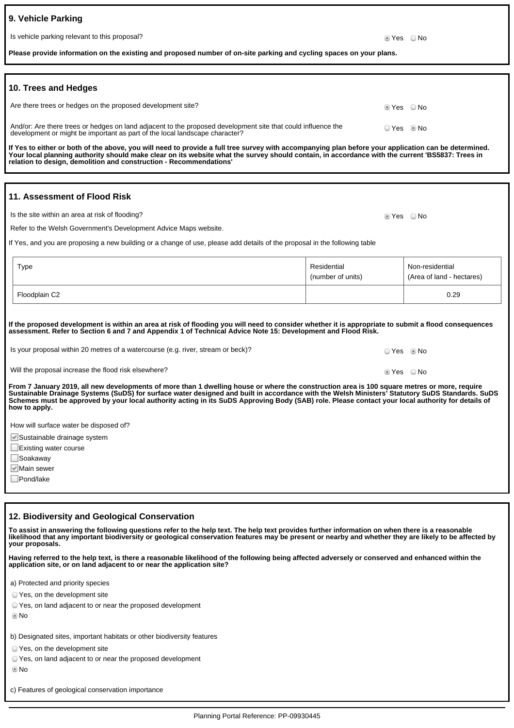| 9. Vehicle Parking                            |               |  |
|-----------------------------------------------|---------------|--|
| Is vehicle parking relevant to this proposal? | ii Yes ∴ O No |  |
|                                               |               |  |

**O**Yes ONo

| Please provide information on the existing and proposed number of on-site parking and cycling spaces on your plans. |
|---------------------------------------------------------------------------------------------------------------------|
|---------------------------------------------------------------------------------------------------------------------|

| 10. Trees and Hedges                                                                                                                                                                        |                          |  |
|---------------------------------------------------------------------------------------------------------------------------------------------------------------------------------------------|--------------------------|--|
| Are there trees or hedges on the proposed development site?                                                                                                                                 | $\bullet$ Yes $\circ$ No |  |
| And/or: Are there trees or hedges on land adjacent to the proposed development site that could influence the<br>development or might be important as part of the local landscape character? | ⊙ Yes … ® No             |  |
| If Yes to either or both of the above, you will need to provide a full tree survey with accompanying plan before your application can be determined.                                        |                          |  |

**If Yes to either or both of the above, you will need to provide a full tree survey with accompanying plan before your application can be determined. Your local planning authority should make clear on its website what the survey should contain, in accordance with the current 'BS5837: Trees in relation to design, demolition and construction - Recommendations'**

## **11. Assessment of Flood Risk**

Is the site within an area at risk of flooding?

Refer to the Welsh Government's Development Advice Maps website.

If Yes, and you are proposing a new building or a change of use, please add details of the proposal in the following table

| Type          | Residential<br>(number of units) | Non-residential<br>(Area of land - hectares) |
|---------------|----------------------------------|----------------------------------------------|
| Floodplain C2 |                                  | 0.29                                         |

**If the proposed development is within an area at risk of flooding you will need to consider whether it is appropriate to submit a flood consequences assessment. Refer to Section 6 and 7 and Appendix 1 of Technical Advice Note 15: Development and Flood Risk.**

| From 7 January 2019, all new developments of more than 1 dwelling house or where the construction area is 100 square metres or more, require<br>Sustainable Drainage Systems (SuDS) for surface water designed and built in accordance with the Welsh Ministers' Statutory SuDS Standards. SuDS<br>Schemes must be approved by your local authority acting in its SuDS Approving Body (SAB) role. Please contact your local authority for details of |              |  |
|------------------------------------------------------------------------------------------------------------------------------------------------------------------------------------------------------------------------------------------------------------------------------------------------------------------------------------------------------------------------------------------------------------------------------------------------------|--------------|--|
| Will the proposal increase the flood risk elsewhere?                                                                                                                                                                                                                                                                                                                                                                                                 | lier ∧o No   |  |
| Is your proposal within 20 metres of a watercourse (e.g. river, stream or beck)?                                                                                                                                                                                                                                                                                                                                                                     | OYes . Io No |  |

How will surface water be disposed of?

Sustainable drainage system

Existing water course

■Soakaway

**how to apply.**

**Main sewer** 

Pond/lake

### **12. Biodiversity and Geological Conservation**

**To assist in answering the following questions refer to the help text. The help text provides further information on when there is a reasonable likelihood that any important biodiversity or geological conservation features may be present or nearby and whether they are likely to be affected by your proposals.**

**Having referred to the help text, is there a reasonable likelihood of the following being affected adversely or conserved and enhanced within the application site, or on land adjacent to or near the application site?**

a) Protected and priority species

Yes, on the development site

Yes, on land adjacent to or near the proposed development

No

b) Designated sites, important habitats or other biodiversity features

Yes, on the development site

Yes, on land adjacent to or near the proposed development

No

c) Features of geological conservation importance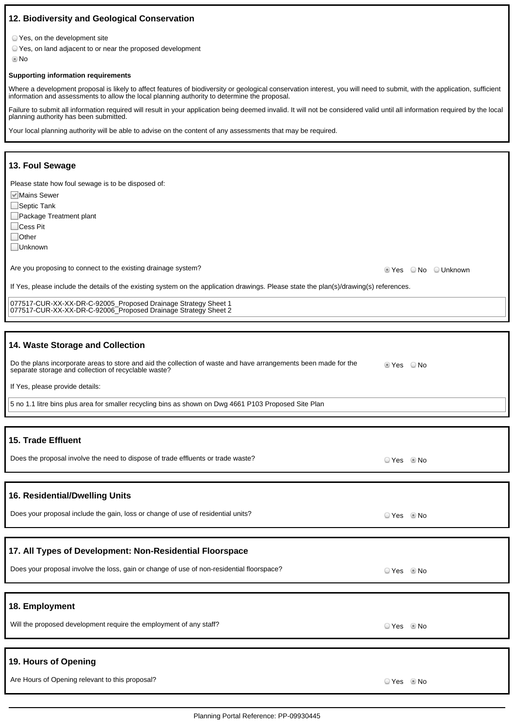# **12. Biodiversity and Geological Conservation**

Yes, on the development site

Yes, on land adjacent to or near the proposed development

No

### **Supporting information requirements**

Where a development proposal is likely to affect features of biodiversity or geological conservation interest, you will need to submit, with the application, sufficient information and assessments to allow the local planning authority to determine the proposal.

Failure to submit all information required will result in your application being deemed invalid. It will not be considered valid until all information required by the local planning authority has been submitted.

Your local planning authority will be able to advise on the content of any assessments that may be required.

## **13. Foul Sewage**

Please state how foul sewage is to be disposed of:

Mains Sewer

□Septic Tank

Package Treatment plant

□Cess Pit

□Other

Unknown

Are you proposing to connect to the existing drainage system?<br>
Are you proposing to connect to the existing drainage system?

If Yes, please include the details of the existing system on the application drawings. Please state the plan(s)/drawing(s) references.

077517-CUR-XX-XX-DR-C-92005\_Proposed Drainage Strategy Sheet 1 077517-CUR-XX-XX-DR-C-92006\_Proposed Drainage Strategy Sheet 2

## **14. Waste Storage and Collection**

| Do the plans incorporate areas to store and aid the collection of waste and have arrangements been made for the<br>separate storage and collection of recyclable waste? |  | ◎ Yes ◎ No |
|-------------------------------------------------------------------------------------------------------------------------------------------------------------------------|--|------------|
|                                                                                                                                                                         |  |            |

If Yes, please provide details:

5 no 1.1 litre bins plus area for smaller recycling bins as shown on Dwg 4661 P103 Proposed Site Plan

| 15. Trade Effluent                                                                        |            |  |
|-------------------------------------------------------------------------------------------|------------|--|
| Does the proposal involve the need to dispose of trade effluents or trade waste?          | $OYes$ Mo  |  |
|                                                                                           |            |  |
| 16. Residential/Dwelling Units                                                            |            |  |
| Does your proposal include the gain, loss or change of use of residential units?          | $OYes$ Mo  |  |
|                                                                                           |            |  |
| 17. All Types of Development: Non-Residential Floorspace                                  |            |  |
| Does your proposal involve the loss, gain or change of use of non-residential floorspace? | ○ Yes ◎ No |  |
|                                                                                           |            |  |
| 18. Employment                                                                            |            |  |
| Will the proposed development require the employment of any staff?                        | $OYes$ Mo  |  |
|                                                                                           |            |  |
| 19. Hours of Opening                                                                      |            |  |
| Are Hours of Opening relevant to this proposal?                                           | ○ Yes ◎ No |  |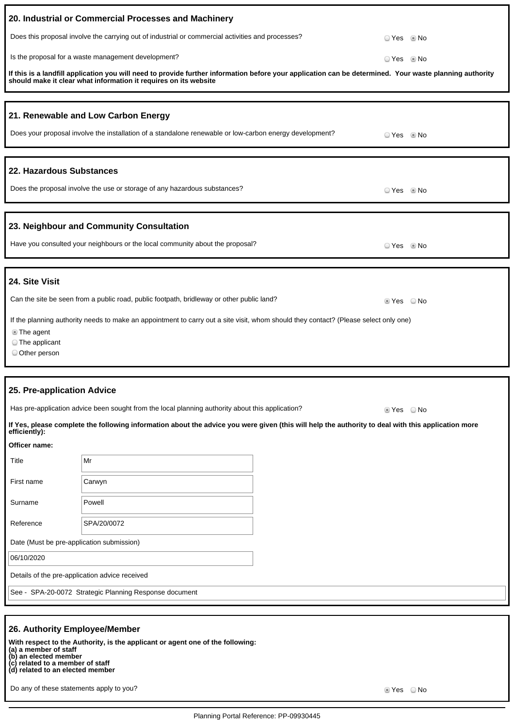|                                                                  | 20. Industrial or Commercial Processes and Machinery                                                                                                                                                                        |  |               |
|------------------------------------------------------------------|-----------------------------------------------------------------------------------------------------------------------------------------------------------------------------------------------------------------------------|--|---------------|
|                                                                  | Does this proposal involve the carrying out of industrial or commercial activities and processes?                                                                                                                           |  | ○ Yes<br>l No |
|                                                                  | Is the proposal for a waste management development?                                                                                                                                                                         |  | ○ Yes ◎ No    |
|                                                                  | If this is a landfill application you will need to provide further information before your application can be determined. Your waste planning authority<br>should make it clear what information it requires on its website |  |               |
|                                                                  | 21. Renewable and Low Carbon Energy                                                                                                                                                                                         |  |               |
|                                                                  | Does your proposal involve the installation of a standalone renewable or low-carbon energy development?                                                                                                                     |  | ○ Yes ◎ No    |
| 22. Hazardous Substances                                         |                                                                                                                                                                                                                             |  |               |
|                                                                  | Does the proposal involve the use or storage of any hazardous substances?                                                                                                                                                   |  | ○ Yes ◎ No    |
|                                                                  | 23. Neighbour and Community Consultation                                                                                                                                                                                    |  |               |
|                                                                  | Have you consulted your neighbours or the local community about the proposal?                                                                                                                                               |  | ○ Yes ◎ No    |
| 24. Site Visit                                                   |                                                                                                                                                                                                                             |  |               |
|                                                                  | Can the site be seen from a public road, public footpath, bridleway or other public land?                                                                                                                                   |  | tes ONo       |
| lacktriangleright in the end-<br>◯ The applicant<br>Other person | If the planning authority needs to make an appointment to carry out a site visit, whom should they contact? (Please select only one)                                                                                        |  |               |
|                                                                  |                                                                                                                                                                                                                             |  |               |
| 25. Pre-application Advice                                       |                                                                                                                                                                                                                             |  |               |
|                                                                  | Has pre-application advice been sought from the local planning authority about this application?                                                                                                                            |  | ■ Yes © No    |
| efficiently):                                                    | If Yes, please complete the following information about the advice you were given (this will help the authority to deal with this application more                                                                          |  |               |
| Officer name:                                                    |                                                                                                                                                                                                                             |  |               |
| Title                                                            | Mr                                                                                                                                                                                                                          |  |               |
| First name                                                       | Carwyn                                                                                                                                                                                                                      |  |               |
| Surname                                                          | Powell                                                                                                                                                                                                                      |  |               |
| Reference                                                        | SPA/20/0072                                                                                                                                                                                                                 |  |               |
| Date (Must be pre-application submission)                        |                                                                                                                                                                                                                             |  |               |
| 06/10/2020                                                       |                                                                                                                                                                                                                             |  |               |
| Details of the pre-application advice received                   |                                                                                                                                                                                                                             |  |               |
| See - SPA-20-0072 Strategic Planning Response document           |                                                                                                                                                                                                                             |  |               |
|                                                                  |                                                                                                                                                                                                                             |  |               |

# **26. Authority Employee/Member**

**With respect to the Authority, is the applicant or agent one of the following:**

**(a) a member of staff (b) an elected member**

**(c) related to a member of staff (d) related to an elected member**

Do any of these statements apply to you? The set of the set of the set of the set of the Set of No